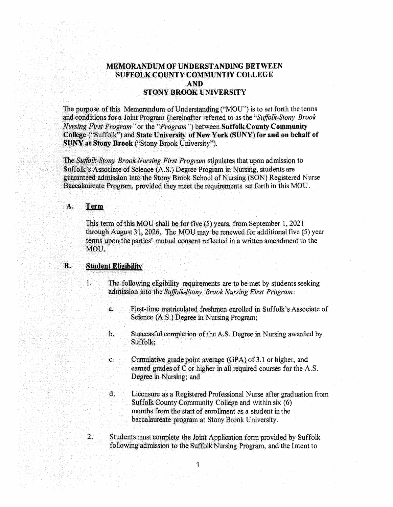# **MEMORANDUM OF UNDERSTANDING BETWEEN SUFFOLK COUNTY COMMUNTIY COLLEGE AND STONY BROOK UNIVERSITY**

The purpose of this Memorandum of Understanding ("MOU") is to set forth the terms and conditions for a Joint Program (hereinafter referred to as the "Suffolk-Stony Brook Nursing First Program" or the "Program") between Suffolk County Community College ("Suffolk") and State University of New York (SUNY) for and on behalf of **SUNY at Stony Brook ("Stony Brook University").** 

The Suffolk-Stony Brook Nursing First Program stipulates that upon admission to Suffolk's Associate of Science (A.S.) Degree Program in Nursing, students are guaranteed admission into the Stony Brook School of Nursing (SON) Registered Nurse Baccalaureate Program, provided they meet the requirements set forth in this MOU.

#### A. Term

This term of this MOU shall be for five  $(5)$  years, from September 1, 2021 through August 31, 2026. The MOU may be renewed for additional five (5) year terms upon the parties' mutual consent reflected in a written amendment to the MOU.

### **Student Eligibility**  $\bf{B}$ .

- $1.$ The following eligibility requirements are to be met by students seeking admission into the Suffolk-Stony Brook Nursing First Program:
	- First-time matriculated freshmen enrolled in Suffolk's Associate of a. Science (A.S.) Degree in Nursing Program;
	- $\mathbf{b}$ . Successful completion of the A.S. Degree in Nursing awarded by Suffolk:
	- Cumulative grade point average (GPA) of 3.1 or higher, and c. earned grades of  $C$  or higher in all required courses for the  $A.S.$ Degree in Nursing; and
	- d. Licensure as a Registered Professional Nurse after graduation from Suffolk County Community College and within six (6) months from the start of enrollment as a student in the baccalaureate program at Stony Brook University.
- $\overline{2}$ . Students must complete the Joint Application form provided by Suffolk following admission to the Suffolk Nursing Program, and the Intent to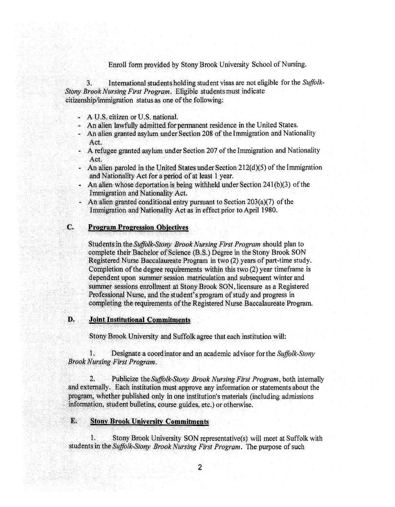Enroll form provided by Stony Brook University School of Nursing.

International students holding student visas are not eligible for the Suffolk- $\mathbf{3}$ . Stony Brook Nursing First Program. Eligible students must indicate citizenship/immigration status as one of the following:

- A U.S. citizen or U.S. national.
- An alien lawfully admitted for permanent residence in the United States.
- An alien granted asylum under Section 208 of the Immigration and Nationality Act.
- A refugee granted asylum under Section 207 of the Immigration and Nationality Act.
- An alien paroled in the United States under Section  $212(d)(5)$  of the Immigration and Nationality Act for a period of at least 1 year.
- An alien whose deportation is being withheld under Section 241(b)(3) of the Immigration and Nationality Act.
- An alien granted conditional entry pursuant to Section  $203(a)(7)$  of the Immigration and Nationality Act as in effect prior to April 1980.

### C. **Program Progression Objectives**

Students in the Suffolk-Stony Brook Nursing First Program should plan to complete their Bachelor of Science (B.S.) Degree in the Stony Brook SON Registered Nurse Baccalaureate Program in two (2) years of part-time study. Completion of the degree requirements within this two (2) year timeframe is dependent upon summer session matriculation and subsequent winter and summer sessions enrollment at Stony Brook SON, licensure as a Registered Professional Nurse, and the student's program of study and progress in completing the requirements of the Registered Nurse Baccalaureate Program.

### D. **Joint Institutional Commitments**

Stony Brook University and Suffolk agree that each institution will:

1. Designate a coordinator and an academic advisor for the Suffolk-Stony **Brook Nursing First Program.** 

 $2.$ Publicize the Suffolk-Stony Brook Nursing First Program, both internally and externally. Each institution must approve any information or statements about the program, whether published only in one institution's materials (including admissions information, student bulletins, course guides, etc.) or otherwise.

## **Stony Brook University Commitments**

E.

 $1$ . Stony Brook University SON representative(s) will meet at Suffolk with students in the Suffolk-Stony Brook Nursing First Program. The purpose of such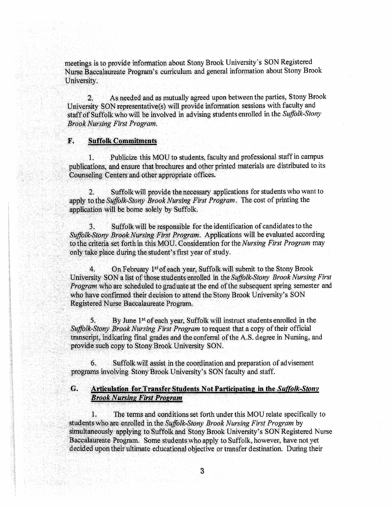meetings is to provide information about Stony Brook University's SON Registered Nurse Baccalaureate Program's curriculum and general information about Stony Brook University.

As needed and as mutually agreed upon between the parties, Stony Brook  $\mathbf{2}$ . University SON representative(s) will provide information sessions with faculty and staff of Suffolk who will be involved in advising students enrolled in the Suffolk-Stony **Brook Nursing First Program.** 

### $\mathbf{F}$ . **Suffolk Commitments**

Publicize this MOU to students, faculty and professional staff in campus  $\mathbf{1}$ publications, and ensure that brochures and other printed materials are distributed to its Counseling Centers and other appropriate offices.

Suffolk will provide the necessary applications for students who want to  $\mathbf{2}$ . apply to the Suffolk-Stony Brook Nursing First Program. The cost of printing the application will be borne solely by Suffolk.

 $\overline{3}$ . Suffolk will be responsible for the identification of candidates to the Suffolk-Stony Brook Nursing First Program. Applications will be evaluated according to the criteria set forth in this MOU. Consideration for the Nursing First Program may only take place during the student's first year of study.

On February 1st of each year, Suffolk will submit to the Stony Brook  $4<sub>1</sub>$ University SON a list of those students enrolled in the Suffolk-Stony Brook Nursing First Program who are scheduled to graduate at the end of the subsequent spring semester and who have confirmed their decision to attend the Stony Brook University's SON Registered Nurse Baccalaureate Program.

5. By June 1<sup>st</sup> of each year, Suffolk will instruct students enrolled in the Suffolk-Stony Brook Nursing First Program to request that a copy of their official transcript, indicating final grades and the conferral of the A.S. degree in Nursing, and provide such copy to Stony Brook University SON.

Suffolk will assist in the coordination and preparation of advisement 6. programs involving Stony Brook University's SON faculty and staff.

### G. Articulation for Transfer Students Not Participating in the Suffolk-Stony **Brook Nursing First Program**

 $\mathbf{I}$ . The terms and conditions set forth under this MOU relate specifically to students who are enrolled in the Suffolk-Stony Brook Nursing First Program by simultaneously applying to Suffolk and Stony Brook University's SON Registered Nurse Baccalaureate Program. Some students who apply to Suffolk, however, have not yet decided upon their ultimate educational objective or transfer destination. During their